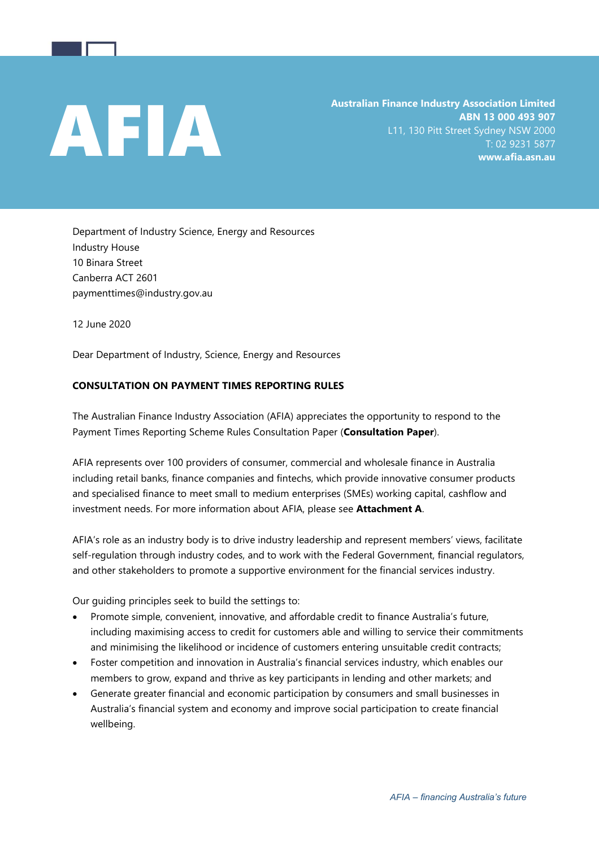Australian Finance Industry Association Limited<br>ABN 13 000 493 907<br>L11, 130 Pitt Street Sydney NSW 2000<br>T: 02 9231 5877<br>www.afia.asn.au **ABN 13 000 493 907** L11, 130 Pitt Street Sydney NSW 2000 T: 02 9231 5877 **www.afia.asn.au**

Department of Industry Science, Energy and Resources Industry House 10 Binara Street Canberra ACT 2601 paymenttimes@industry.gov.au

12 June 2020

Dear Department of Industry, Science, Energy and Resources

## **CONSULTATION ON PAYMENT TIMES REPORTING RULES**

The Australian Finance Industry Association (AFIA) appreciates the opportunity to respond to the Payment Times Reporting Scheme Rules Consultation Paper (**Consultation Paper**).

AFIA represents over 100 providers of consumer, commercial and wholesale finance in Australia including retail banks, finance companies and fintechs, which provide innovative consumer products and specialised finance to meet small to medium enterprises (SMEs) working capital, cashflow and investment needs. For more information about AFIA, please see **Attachment A**.

AFIA's role as an industry body is to drive industry leadership and represent members' views, facilitate self-regulation through industry codes, and to work with the Federal Government, financial regulators, and other stakeholders to promote a supportive environment for the financial services industry.

Our guiding principles seek to build the settings to:

- Promote simple, convenient, innovative, and affordable credit to finance Australia's future, including maximising access to credit for customers able and willing to service their commitments and minimising the likelihood or incidence of customers entering unsuitable credit contracts;
- Foster competition and innovation in Australia's financial services industry, which enables our members to grow, expand and thrive as key participants in lending and other markets; and
- Generate greater financial and economic participation by consumers and small businesses in Australia's financial system and economy and improve social participation to create financial wellbeing.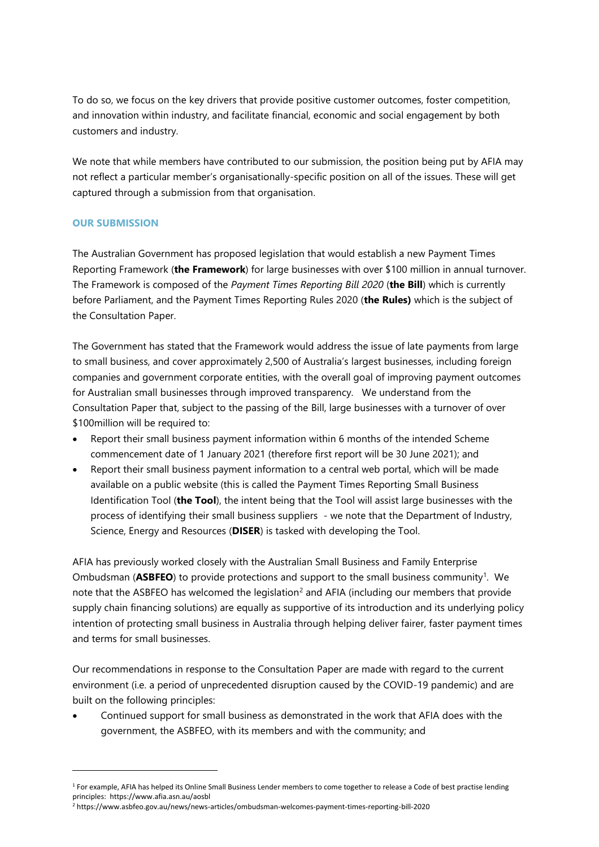To do so, we focus on the key drivers that provide positive customer outcomes, foster competition, and innovation within industry, and facilitate financial, economic and social engagement by both customers and industry.

We note that while members have contributed to our submission, the position being put by AFIA may not reflect a particular member's organisationally-specific position on all of the issues. These will get captured through a submission from that organisation.

## **OUR SUBMISSION**

The Australian Government has proposed legislation that would establish a new Payment Times Reporting Framework (**the Framework**) for large businesses with over \$100 million in annual turnover. The Framework is composed of the *Payment Times Reporting Bill 2020* (**the Bill**) which is currently before Parliament, and the Payment Times Reporting Rules 2020 (**the Rules)** which is the subject of the Consultation Paper.

The Government has stated that the Framework would address the issue of late payments from large to small business, and cover approximately 2,500 of Australia's largest businesses, including foreign companies and government corporate entities, with the overall goal of improving payment outcomes for Australian small businesses through improved transparency. We understand from the Consultation Paper that, subject to the passing of the Bill, large businesses with a turnover of over \$100million will be required to:

- Report their small business payment information within 6 months of the intended Scheme commencement date of 1 January 2021 (therefore first report will be 30 June 2021); and
- Report their small business payment information to a central web portal, which will be made available on a public website (this is called the Payment Times Reporting Small Business Identification Tool (**the Tool**), the intent being that the Tool will assist large businesses with the process of identifying their small business suppliers - we note that the Department of Industry, Science, Energy and Resources (**DISER**) is tasked with developing the Tool.

AFIA has previously worked closely with the Australian Small Business and Family Enterprise Ombudsman (ASBFEO) to provide protections and support to the small business community<sup>1</sup>. We note that the ASBFEO has welcomed the legislation<sup>2</sup> and AFIA (including our members that provide supply chain financing solutions) are equally as supportive of its introduction and its underlying policy intention of protecting small business in Australia through helping deliver fairer, faster payment times and terms for small businesses.

Our recommendations in response to the Consultation Paper are made with regard to the current environment (i.e. a period of unprecedented disruption caused by the COVID-19 pandemic) and are built on the following principles:

• Continued support for small business as demonstrated in the work that AFIA does with the government, the ASBFEO, with its members and with the community; and

<sup>&</sup>lt;sup>1</sup> For example, AFIA has helped its Online Small Business Lender members to come together to release a Code of best practise lending principles: https://www.afia.asn.au/aosbl

<sup>2</sup> https://www.asbfeo.gov.au/news/news-articles/ombudsman-welcomes-payment-times-reporting-bill-2020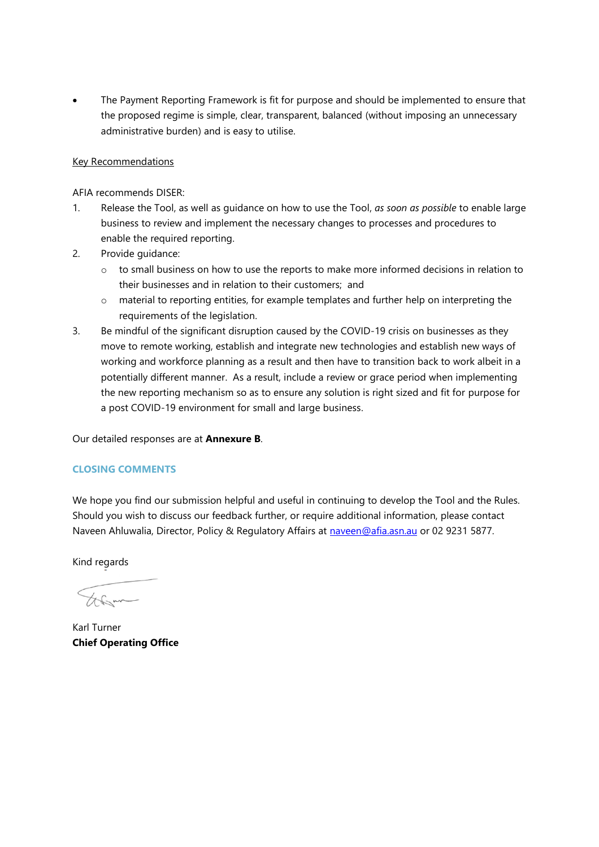• The Payment Reporting Framework is fit for purpose and should be implemented to ensure that the proposed regime is simple, clear, transparent, balanced (without imposing an unnecessary administrative burden) and is easy to utilise.

## Key Recommendations

AFIA recommends DISER:

- 1. Release the Tool, as well as guidance on how to use the Tool, *as soon as possible* to enable large business to review and implement the necessary changes to processes and procedures to enable the required reporting.
- 2. Provide guidance:
	- o to small business on how to use the reports to make more informed decisions in relation to their businesses and in relation to their customers; and
	- o material to reporting entities, for example templates and further help on interpreting the requirements of the legislation.
- 3. Be mindful of the significant disruption caused by the COVID-19 crisis on businesses as they move to remote working, establish and integrate new technologies and establish new ways of working and workforce planning as a result and then have to transition back to work albeit in a potentially different manner. As a result, include a review or grace period when implementing the new reporting mechanism so as to ensure any solution is right sized and fit for purpose for a post COVID-19 environment for small and large business.

Our detailed responses are at **Annexure B**.

## **CLOSING COMMENTS**

We hope you find our submission helpful and useful in continuing to develop the Tool and the Rules. Should you wish to discuss our feedback further, or require additional information, please contact Naveen Ahluwalia, Director, Policy & Regulatory Affairs at [naveen@afia.asn.au](mailto:naveen@afia.asn.au) or 02 9231 5877.

Kind regards

Abom

Karl Turner **Chief Operating Office**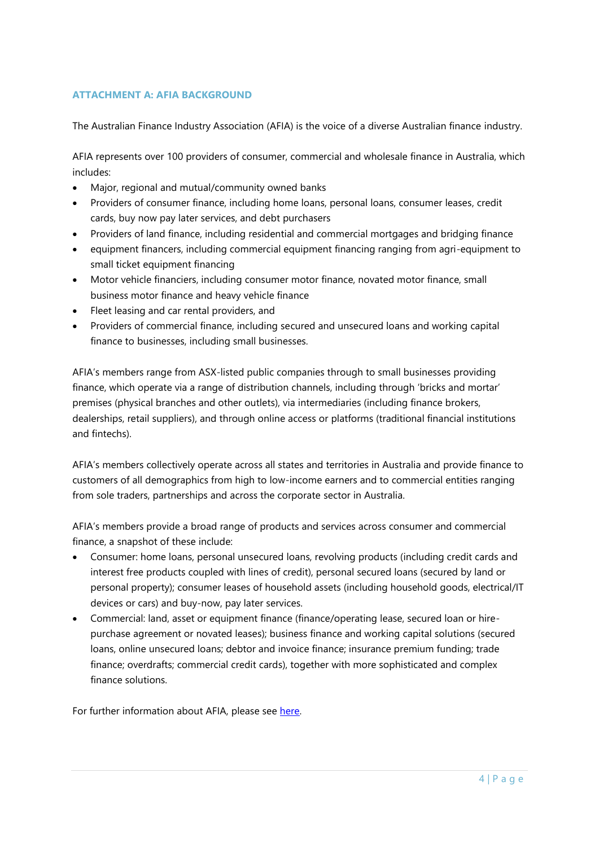# **ATTACHMENT A: AFIA BACKGROUND**

The Australian Finance Industry Association (AFIA) is the voice of a diverse Australian finance industry.

AFIA represents over 100 providers of consumer, commercial and wholesale finance in Australia, which includes:

- Major, regional and mutual/community owned banks
- Providers of consumer finance, including home loans, personal loans, consumer leases, credit cards, buy now pay later services, and debt purchasers
- Providers of land finance, including residential and commercial mortgages and bridging finance
- equipment financers, including commercial equipment financing ranging from agri-equipment to small ticket equipment financing
- Motor vehicle financiers, including consumer motor finance, novated motor finance, small business motor finance and heavy vehicle finance
- Fleet leasing and car rental providers, and
- Providers of commercial finance, including secured and unsecured loans and working capital finance to businesses, including small businesses.

AFIA's members range from ASX-listed public companies through to small businesses providing finance, which operate via a range of distribution channels, including through 'bricks and mortar' premises (physical branches and other outlets), via intermediaries (including finance brokers, dealerships, retail suppliers), and through online access or platforms (traditional financial institutions and fintechs).

AFIA's members collectively operate across all states and territories in Australia and provide finance to customers of all demographics from high to low-income earners and to commercial entities ranging from sole traders, partnerships and across the corporate sector in Australia.

AFIA's members provide a broad range of products and services across consumer and commercial finance, a snapshot of these include:

- Consumer: home loans, personal unsecured loans, revolving products (including credit cards and interest free products coupled with lines of credit), personal secured loans (secured by land or personal property); consumer leases of household assets (including household goods, electrical/IT devices or cars) and buy-now, pay later services.
- Commercial: land, asset or equipment finance (finance/operating lease, secured loan or hirepurchase agreement or novated leases); business finance and working capital solutions (secured loans, online unsecured loans; debtor and invoice finance; insurance premium funding; trade finance; overdrafts; commercial credit cards), together with more sophisticated and complex finance solutions.

For further information about AFIA, please see [here.](https://www.afia.asn.au/)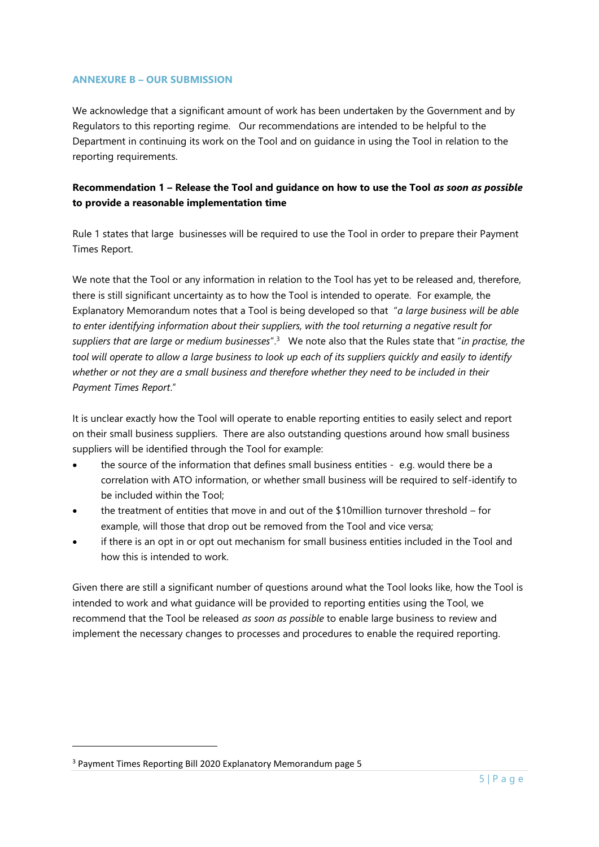#### **ANNEXURE B – OUR SUBMISSION**

We acknowledge that a significant amount of work has been undertaken by the Government and by Regulators to this reporting regime. Our recommendations are intended to be helpful to the Department in continuing its work on the Tool and on guidance in using the Tool in relation to the reporting requirements.

# **Recommendation 1 – Release the Tool and guidance on how to use the Tool** *as soon as possible* **to provide a reasonable implementation time**

Rule 1 states that large businesses will be required to use the Tool in order to prepare their Payment Times Report.

We note that the Tool or any information in relation to the Tool has yet to be released and, therefore, there is still significant uncertainty as to how the Tool is intended to operate. For example, the Explanatory Memorandum notes that a Tool is being developed so that "*a large business will be able to enter identifying information about their suppliers, with the tool returning a negative result for suppliers that are large or medium businesses*".<sup>3</sup> We note also that the Rules state that "*in practise, the tool will operate to allow a large business to look up each of its suppliers quickly and easily to identify whether or not they are a small business and therefore whether they need to be included in their Payment Times Report*."

It is unclear exactly how the Tool will operate to enable reporting entities to easily select and report on their small business suppliers. There are also outstanding questions around how small business suppliers will be identified through the Tool for example:

- the source of the information that defines small business entities e.g. would there be a correlation with ATO information, or whether small business will be required to self-identify to be included within the Tool;
- the treatment of entities that move in and out of the \$10million turnover threshold for example, will those that drop out be removed from the Tool and vice versa;
- if there is an opt in or opt out mechanism for small business entities included in the Tool and how this is intended to work.

Given there are still a significant number of questions around what the Tool looks like, how the Tool is intended to work and what guidance will be provided to reporting entities using the Tool, we recommend that the Tool be released *as soon as possible* to enable large business to review and implement the necessary changes to processes and procedures to enable the required reporting.

<sup>3</sup> Payment Times Reporting Bill 2020 Explanatory Memorandum page 5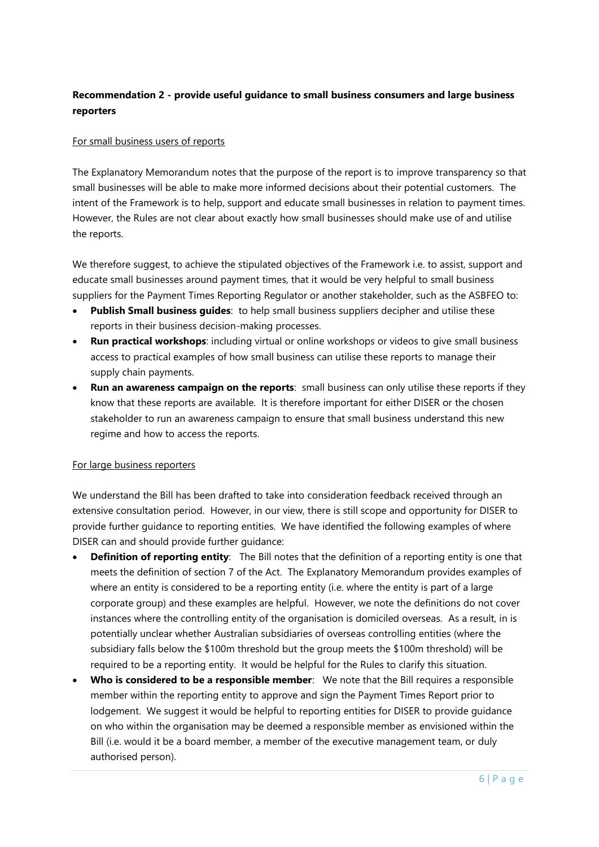# **Recommendation 2 - provide useful guidance to small business consumers and large business reporters**

### For small business users of reports

The Explanatory Memorandum notes that the purpose of the report is to improve transparency so that small businesses will be able to make more informed decisions about their potential customers. The intent of the Framework is to help, support and educate small businesses in relation to payment times. However, the Rules are not clear about exactly how small businesses should make use of and utilise the reports.

We therefore suggest, to achieve the stipulated objectives of the Framework i.e. to assist, support and educate small businesses around payment times, that it would be very helpful to small business suppliers for the Payment Times Reporting Regulator or another stakeholder, such as the ASBFEO to:

- **Publish Small business guides**: to help small business suppliers decipher and utilise these reports in their business decision-making processes.
- **Run practical workshops**: including virtual or online workshops or videos to give small business access to practical examples of how small business can utilise these reports to manage their supply chain payments.
- **Run an awareness campaign on the reports**: small business can only utilise these reports if they know that these reports are available. It is therefore important for either DISER or the chosen stakeholder to run an awareness campaign to ensure that small business understand this new regime and how to access the reports.

#### For large business reporters

We understand the Bill has been drafted to take into consideration feedback received through an extensive consultation period. However, in our view, there is still scope and opportunity for DISER to provide further guidance to reporting entities. We have identified the following examples of where DISER can and should provide further guidance:

- **Definition of reporting entity**: The Bill notes that the definition of a reporting entity is one that meets the definition of section 7 of the Act. The Explanatory Memorandum provides examples of where an entity is considered to be a reporting entity (i.e. where the entity is part of a large corporate group) and these examples are helpful. However, we note the definitions do not cover instances where the controlling entity of the organisation is domiciled overseas. As a result, in is potentially unclear whether Australian subsidiaries of overseas controlling entities (where the subsidiary falls below the \$100m threshold but the group meets the \$100m threshold) will be required to be a reporting entity. It would be helpful for the Rules to clarify this situation.
- **Who is considered to be a responsible member**: We note that the Bill requires a responsible member within the reporting entity to approve and sign the Payment Times Report prior to lodgement. We suggest it would be helpful to reporting entities for DISER to provide guidance on who within the organisation may be deemed a responsible member as envisioned within the Bill (i.e. would it be a board member, a member of the executive management team, or duly authorised person).